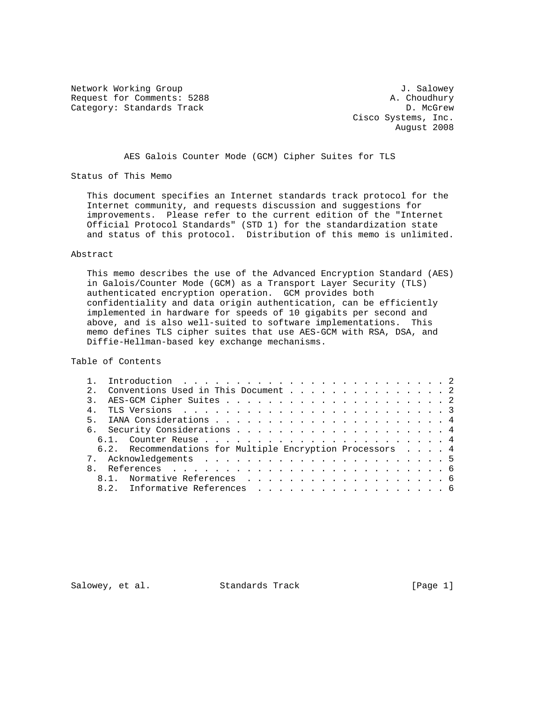Network Working Group 30 and 1. Salowey Request for Comments: 5288 A. Choudhury Category: Standards Track D. McGrew D. McGrew

 Cisco Systems, Inc. August 2008

AES Galois Counter Mode (GCM) Cipher Suites for TLS

Status of This Memo

 This document specifies an Internet standards track protocol for the Internet community, and requests discussion and suggestions for improvements. Please refer to the current edition of the "Internet Official Protocol Standards" (STD 1) for the standardization state and status of this protocol. Distribution of this memo is unlimited.

### Abstract

 This memo describes the use of the Advanced Encryption Standard (AES) in Galois/Counter Mode (GCM) as a Transport Layer Security (TLS) authenticated encryption operation. GCM provides both confidentiality and data origin authentication, can be efficiently implemented in hardware for speeds of 10 gigabits per second and above, and is also well-suited to software implementations. This memo defines TLS cipher suites that use AES-GCM with RSA, DSA, and Diffie-Hellman-based key exchange mechanisms.

Table of Contents

|  |    | Conventions Used in This Document 2                       |  |  |  |  |  |  |  |  |  |  |  |  |
|--|----|-----------------------------------------------------------|--|--|--|--|--|--|--|--|--|--|--|--|
|  |    |                                                           |  |  |  |  |  |  |  |  |  |  |  |  |
|  |    |                                                           |  |  |  |  |  |  |  |  |  |  |  |  |
|  |    |                                                           |  |  |  |  |  |  |  |  |  |  |  |  |
|  |    |                                                           |  |  |  |  |  |  |  |  |  |  |  |  |
|  |    |                                                           |  |  |  |  |  |  |  |  |  |  |  |  |
|  |    | 6.2. Recommendations for Multiple Encryption Processors 4 |  |  |  |  |  |  |  |  |  |  |  |  |
|  |    |                                                           |  |  |  |  |  |  |  |  |  |  |  |  |
|  |    |                                                           |  |  |  |  |  |  |  |  |  |  |  |  |
|  | 81 | Normative References 6                                    |  |  |  |  |  |  |  |  |  |  |  |  |
|  | 82 | Informative References 6                                  |  |  |  |  |  |  |  |  |  |  |  |  |
|  |    |                                                           |  |  |  |  |  |  |  |  |  |  |  |  |

Salowey, et al. Standards Track [Page 1]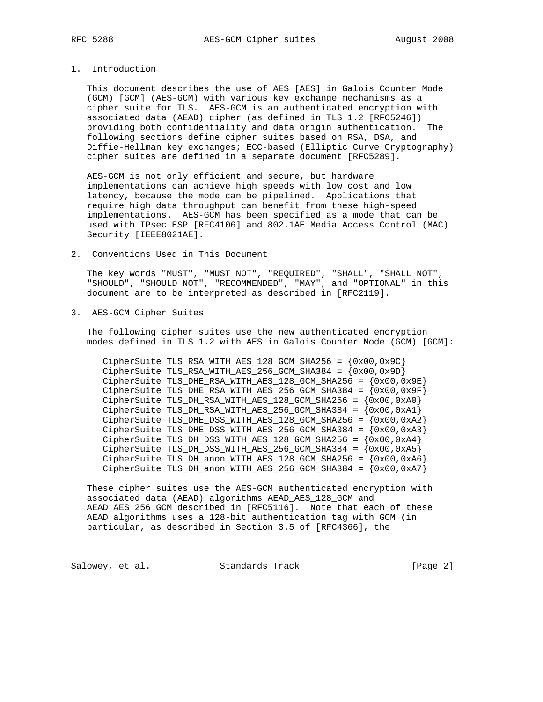# 1. Introduction

 This document describes the use of AES [AES] in Galois Counter Mode (GCM) [GCM] (AES-GCM) with various key exchange mechanisms as a cipher suite for TLS. AES-GCM is an authenticated encryption with associated data (AEAD) cipher (as defined in TLS 1.2 [RFC5246]) providing both confidentiality and data origin authentication. The following sections define cipher suites based on RSA, DSA, and Diffie-Hellman key exchanges; ECC-based (Elliptic Curve Cryptography) cipher suites are defined in a separate document [RFC5289].

 AES-GCM is not only efficient and secure, but hardware implementations can achieve high speeds with low cost and low latency, because the mode can be pipelined. Applications that require high data throughput can benefit from these high-speed implementations. AES-GCM has been specified as a mode that can be used with IPsec ESP [RFC4106] and 802.1AE Media Access Control (MAC) Security [IEEE8021AE].

2. Conventions Used in This Document

 The key words "MUST", "MUST NOT", "REQUIRED", "SHALL", "SHALL NOT", "SHOULD", "SHOULD NOT", "RECOMMENDED", "MAY", and "OPTIONAL" in this document are to be interpreted as described in [RFC2119].

3. AES-GCM Cipher Suites

 The following cipher suites use the new authenticated encryption modes defined in TLS 1.2 with AES in Galois Counter Mode (GCM) [GCM]:

CipherSuite TLS\_RSA\_WITH\_AES\_128\_GCM\_SHA256 =  $\{0x00, 0x9C\}$ CipherSuite TLS\_RSA\_WITH\_AES\_256\_GCM\_SHA384 =  $\{0x00, 0x9D\}$ CipherSuite TLS\_DHE\_RSA\_WITH\_AES\_128\_GCM\_SHA256 =  $(0x00, 0x9E)$ CipherSuite TLS DHE RSA WITH AES 256 GCM SHA384 =  $\{0x00,0x9F\}$ CipherSuite TLS\_DH\_RSA\_WITH\_AES\_128\_GCM\_SHA256 =  $\{0x00, 0xA0\}$ CipherSuite TLS\_DH\_RSA\_WITH\_AES\_256\_GCM\_SHA384 =  $\{0x00, 0xA1\}$ CipherSuite TLS\_DHE\_DSS\_WITH\_AES\_128\_GCM\_SHA256 =  $(0x00, 0xA2)$ CipherSuite TLS\_DHE\_DSS\_WITH\_AES\_256\_GCM\_SHA384 =  $(0x00, 0xA3)$ CipherSuite TLS\_DH\_DSS\_WITH\_AES\_128\_GCM\_SHA256 =  $\{0x00, 0xA4\}$ CipherSuite TLS\_DH\_DSS\_WITH\_AES\_256\_GCM\_SHA384 =  $(0x00, 0xA5)$  CipherSuite TLS\_DH\_anon\_WITH\_AES\_128\_GCM\_SHA256 = {0x00,0xA6} CipherSuite TLS\_DH\_anon\_WITH\_AES\_256\_GCM\_SHA384 =  $(0x00, 0xA7)$ 

 These cipher suites use the AES-GCM authenticated encryption with associated data (AEAD) algorithms AEAD\_AES\_128\_GCM and AEAD\_AES\_256\_GCM described in [RFC5116]. Note that each of these AEAD algorithms uses a 128-bit authentication tag with GCM (in particular, as described in Section 3.5 of [RFC4366], the

Salowey, et al. Standards Track [Page 2]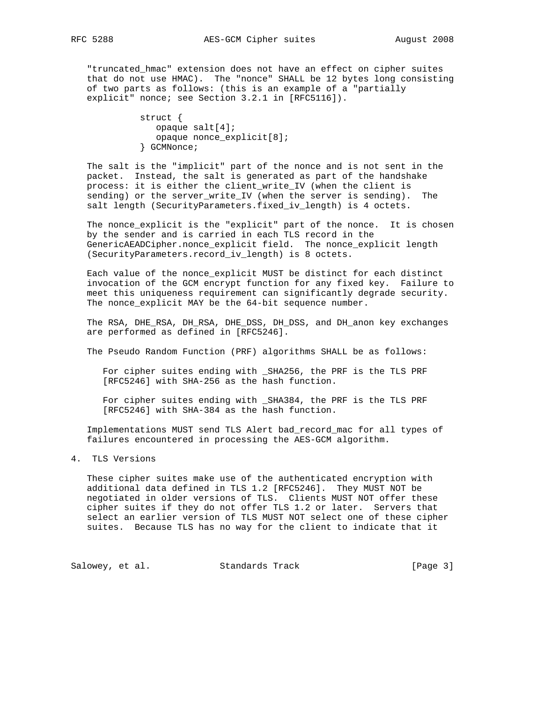RFC 5288 **AES-GCM** Cipher suites August 2008

 "truncated\_hmac" extension does not have an effect on cipher suites that do not use HMAC). The "nonce" SHALL be 12 bytes long consisting of two parts as follows: (this is an example of a "partially explicit" nonce; see Section 3.2.1 in [RFC5116]).

> struct { opaque salt[4]; opaque nonce\_explicit[8]; } GCMNonce;

 The salt is the "implicit" part of the nonce and is not sent in the packet. Instead, the salt is generated as part of the handshake process: it is either the client\_write\_IV (when the client is sending) or the server\_write\_IV (when the server is sending). The salt length (SecurityParameters.fixed\_iv\_length) is 4 octets.

 The nonce\_explicit is the "explicit" part of the nonce. It is chosen by the sender and is carried in each TLS record in the GenericAEADCipher.nonce\_explicit field. The nonce\_explicit length (SecurityParameters.record\_iv\_length) is 8 octets.

 Each value of the nonce\_explicit MUST be distinct for each distinct invocation of the GCM encrypt function for any fixed key. Failure to meet this uniqueness requirement can significantly degrade security. The nonce\_explicit MAY be the 64-bit sequence number.

 The RSA, DHE\_RSA, DH\_RSA, DHE\_DSS, DH\_DSS, and DH\_anon key exchanges are performed as defined in [RFC5246].

The Pseudo Random Function (PRF) algorithms SHALL be as follows:

 For cipher suites ending with \_SHA256, the PRF is the TLS PRF [RFC5246] with SHA-256 as the hash function.

 For cipher suites ending with \_SHA384, the PRF is the TLS PRF [RFC5246] with SHA-384 as the hash function.

 Implementations MUST send TLS Alert bad\_record\_mac for all types of failures encountered in processing the AES-GCM algorithm.

4. TLS Versions

 These cipher suites make use of the authenticated encryption with additional data defined in TLS 1.2 [RFC5246]. They MUST NOT be negotiated in older versions of TLS. Clients MUST NOT offer these cipher suites if they do not offer TLS 1.2 or later. Servers that select an earlier version of TLS MUST NOT select one of these cipher suites. Because TLS has no way for the client to indicate that it

Salowey, et al. Standards Track [Page 3]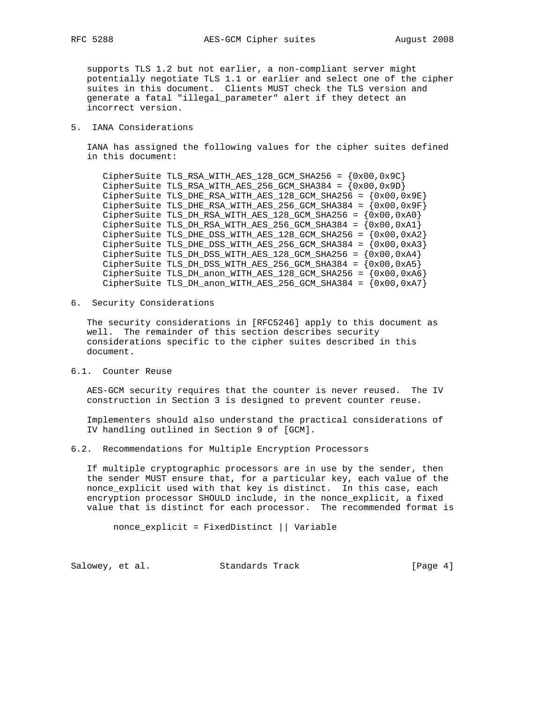supports TLS 1.2 but not earlier, a non-compliant server might potentially negotiate TLS 1.1 or earlier and select one of the cipher suites in this document. Clients MUST check the TLS version and generate a fatal "illegal\_parameter" alert if they detect an incorrect version.

#### 5. IANA Considerations

 IANA has assigned the following values for the cipher suites defined in this document:

 $Ciphersuite TLS_RSA_MITH_AES_128_GCM_SHA256 =  ${0x00,0x9C}$$ CipherSuite TLS\_RSA\_WITH\_AES\_256\_GCM\_SHA384 =  $(0x00, 0x9D)$  $Ciphers$ uite TLS\_DHE\_RSA\_WITH\_AES\_128\_GCM\_SHA256 =  ${0x00,0x9E}$ CipherSuite TLS\_DHE\_RSA\_WITH\_AES\_256\_GCM\_SHA384 =  $(0x00, 0x9F)$ CipherSuite TLS\_DH\_RSA\_WITH\_AES\_128\_GCM\_SHA256 =  ${0x00,0xA0}$  CipherSuite TLS\_DH\_RSA\_WITH\_AES\_256\_GCM\_SHA384 = {0x00,0xA1} CipherSuite TLS\_DHE\_DSS\_WITH\_AES\_128\_GCM\_SHA256 =  $(0x00, 0xA2)$ CipherSuite TLS\_DHE\_DSS\_WITH\_AES\_256\_GCM\_SHA384 =  $(0x00, 0xA3)$  $Ciphersuite TLS_DH_DSS_MITH_AES_128_GCM_SHA256 =  $\{0x00,0xA4\}$$  CipherSuite TLS\_DH\_DSS\_WITH\_AES\_256\_GCM\_SHA384 = {0x00,0xA5} CipherSuite TLS\_DH\_anon\_WITH\_AES\_128\_GCM\_SHA256 =  $(0x00, 0xA6)$ CipherSuite TLS\_DH\_anon\_WITH\_AES\_256\_GCM\_SHA384 =  $\{0x00,0xA7\}$ 

6. Security Considerations

 The security considerations in [RFC5246] apply to this document as well. The remainder of this section describes security considerations specific to the cipher suites described in this document.

6.1. Counter Reuse

 AES-GCM security requires that the counter is never reused. The IV construction in Section 3 is designed to prevent counter reuse.

 Implementers should also understand the practical considerations of IV handling outlined in Section 9 of [GCM].

### 6.2. Recommendations for Multiple Encryption Processors

 If multiple cryptographic processors are in use by the sender, then the sender MUST ensure that, for a particular key, each value of the nonce\_explicit used with that key is distinct. In this case, each encryption processor SHOULD include, in the nonce\_explicit, a fixed value that is distinct for each processor. The recommended format is

nonce\_explicit = FixedDistinct || Variable

Salowey, et al. Standards Track [Page 4]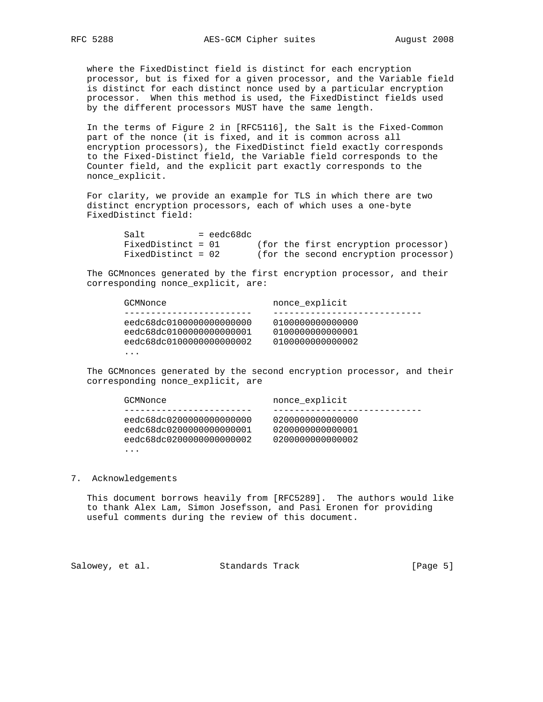where the FixedDistinct field is distinct for each encryption processor, but is fixed for a given processor, and the Variable field is distinct for each distinct nonce used by a particular encryption processor. When this method is used, the FixedDistinct fields used by the different processors MUST have the same length.

 In the terms of Figure 2 in [RFC5116], the Salt is the Fixed-Common part of the nonce (it is fixed, and it is common across all encryption processors), the FixedDistinct field exactly corresponds to the Fixed-Distinct field, the Variable field corresponds to the Counter field, and the explicit part exactly corresponds to the nonce\_explicit.

 For clarity, we provide an example for TLS in which there are two distinct encryption processors, each of which uses a one-byte FixedDistinct field:

| Salt               | = eedc68dc |  |                                       |  |
|--------------------|------------|--|---------------------------------------|--|
| FixedDistinct = 01 |            |  | (for the first encryption processor)  |  |
| FixedDistinct = 02 |            |  | (for the second encryption processor) |  |

 The GCMnonces generated by the first encryption processor, and their corresponding nonce\_explicit, are:

| GCMNonce                 | nonce explicit   |
|--------------------------|------------------|
|                          |                  |
| eedc68dc0100000000000000 | 0100000000000000 |
| eedc68dc0100000000000001 | 0100000000000001 |
| eedc68dc0100000000000002 | 0100000000000002 |
| .                        |                  |

 The GCMnonces generated by the second encryption processor, and their corresponding nonce\_explicit, are

| GCMNonce                 | nonce explicit   |
|--------------------------|------------------|
|                          |                  |
| eedc68dc0200000000000000 | 0200000000000000 |
| eedc68dc0200000000000001 | 020000000000001  |
| eedc68dc0200000000000002 | 0200000000000002 |
| .                        |                  |

#### 7. Acknowledgements

 This document borrows heavily from [RFC5289]. The authors would like to thank Alex Lam, Simon Josefsson, and Pasi Eronen for providing useful comments during the review of this document.

Salowey, et al. Standards Track [Page 5]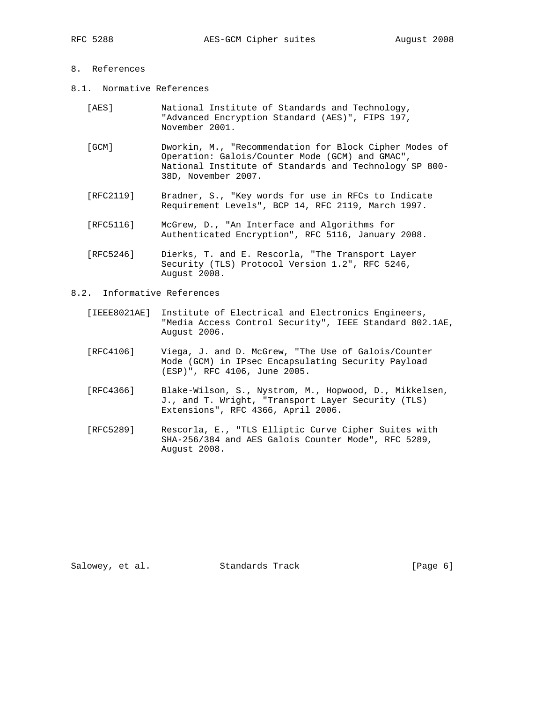# 8. References

- 8.1. Normative References
	- [AES] National Institute of Standards and Technology, "Advanced Encryption Standard (AES)", FIPS 197, November 2001.
	- [GCM] Dworkin, M., "Recommendation for Block Cipher Modes of Operation: Galois/Counter Mode (GCM) and GMAC", National Institute of Standards and Technology SP 800- 38D, November 2007.
	- [RFC2119] Bradner, S., "Key words for use in RFCs to Indicate Requirement Levels", BCP 14, RFC 2119, March 1997.
	- [RFC5116] McGrew, D., "An Interface and Algorithms for Authenticated Encryption", RFC 5116, January 2008.
	- [RFC5246] Dierks, T. and E. Rescorla, "The Transport Layer Security (TLS) Protocol Version 1.2", RFC 5246, August 2008.
- 8.2. Informative References
	- [IEEE8021AE] Institute of Electrical and Electronics Engineers, "Media Access Control Security", IEEE Standard 802.1AE, August 2006.
	- [RFC4106] Viega, J. and D. McGrew, "The Use of Galois/Counter Mode (GCM) in IPsec Encapsulating Security Payload (ESP)", RFC 4106, June 2005.
	- [RFC4366] Blake-Wilson, S., Nystrom, M., Hopwood, D., Mikkelsen, J., and T. Wright, "Transport Layer Security (TLS) Extensions", RFC 4366, April 2006.
	- [RFC5289] Rescorla, E., "TLS Elliptic Curve Cipher Suites with SHA-256/384 and AES Galois Counter Mode", RFC 5289, August 2008.

Salowey, et al. Standards Track [Page 6]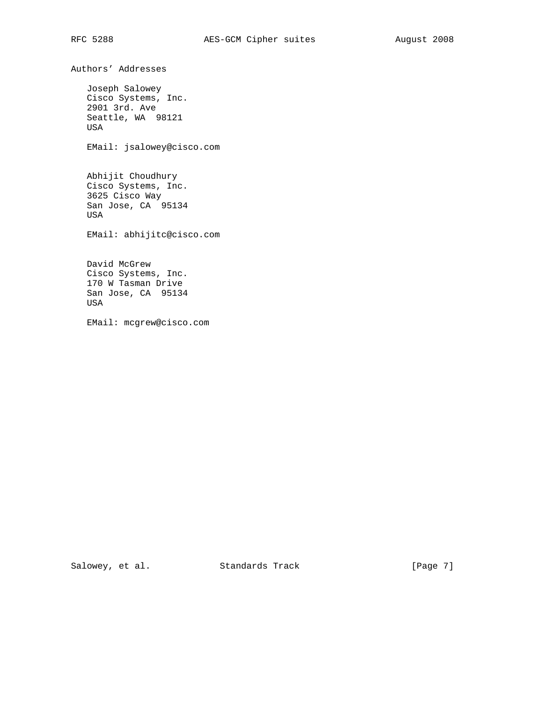Authors' Addresses Joseph Salowey Cisco Systems, Inc. 2901 3rd. Ave Seattle, WA 98121 USA EMail: jsalowey@cisco.com Abhijit Choudhury Cisco Systems, Inc. 3625 Cisco Way San Jose, CA 95134 USA EMail: abhijitc@cisco.com David McGrew Cisco Systems, Inc. 170 W Tasman Drive San Jose, CA 95134 USA EMail: mcgrew@cisco.com

Salowey, et al. Standards Track [Page 7]